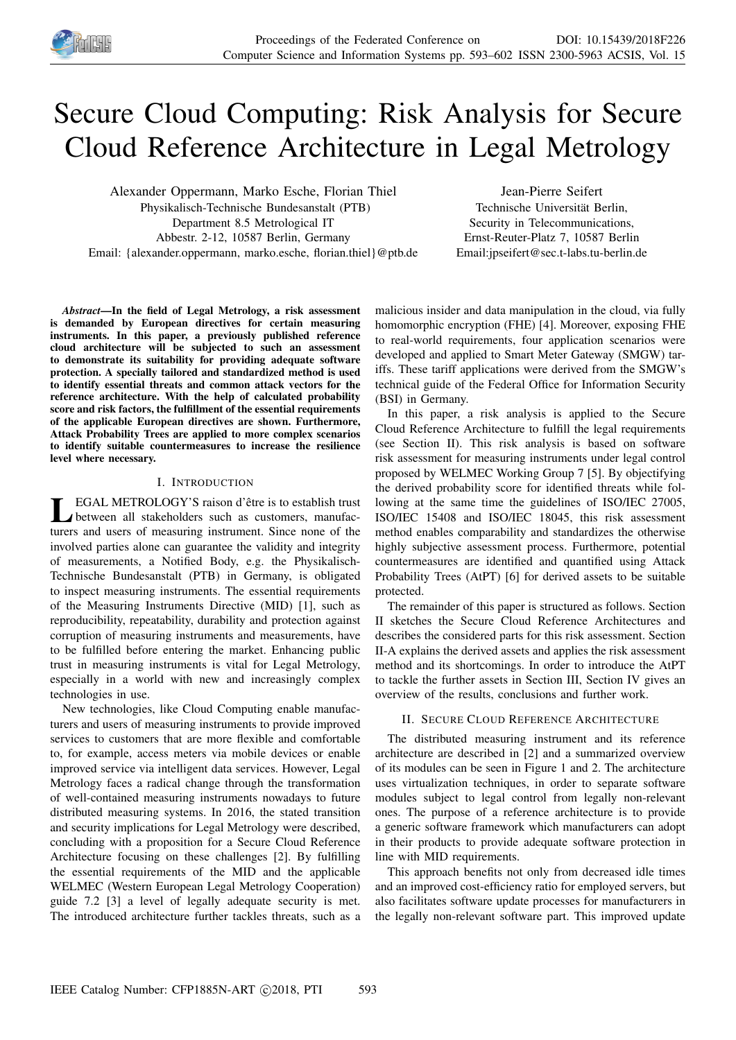

# Secure Cloud Computing: Risk Analysis for Secure Cloud Reference Architecture in Legal Metrology

Alexander Oppermann, Marko Esche, Florian Thiel Physikalisch-Technische Bundesanstalt (PTB) Department 8.5 Metrological IT Abbestr. 2-12, 10587 Berlin, Germany Email: {alexander.oppermann, marko.esche, florian.thiel}@ptb.de

Jean-Pierre Seifert Technische Universität Berlin, Security in Telecommunications, Ernst-Reuter-Platz 7, 10587 Berlin Email:jpseifert@sec.t-labs.tu-berlin.de

*Abstract*—In the field of Legal Metrology, a risk assessment is demanded by European directives for certain measuring instruments. In this paper, a previously published reference cloud architecture will be subjected to such an assessment to demonstrate its suitability for providing adequate software protection. A specially tailored and standardized method is used to identify essential threats and common attack vectors for the reference architecture. With the help of calculated probability score and risk factors, the fulfillment of the essential requirements of the applicable European directives are shown. Furthermore, Attack Probability Trees are applied to more complex scenarios to identify suitable countermeasures to increase the resilience level where necessary.

# I. INTRODUCTION

LEGAL METROLOGY'S raison d'être is to establish trust<br>between all stakeholders such as customers, manufac-<br>turers and users of measuring instrument. Since none of the EGAL METROLOGY'S raison d'être is to establish trust between all stakeholders such as customers, manufacinvolved parties alone can guarantee the validity and integrity of measurements, a Notified Body, e.g. the Physikalisch-Technische Bundesanstalt (PTB) in Germany, is obligated to inspect measuring instruments. The essential requirements of the Measuring Instruments Directive (MID) [1], such as reproducibility, repeatability, durability and protection against corruption of measuring instruments and measurements, have to be fulfilled before entering the market. Enhancing public trust in measuring instruments is vital for Legal Metrology, especially in a world with new and increasingly complex technologies in use.

New technologies, like Cloud Computing enable manufacturers and users of measuring instruments to provide improved services to customers that are more flexible and comfortable to, for example, access meters via mobile devices or enable improved service via intelligent data services. However, Legal Metrology faces a radical change through the transformation of well-contained measuring instruments nowadays to future distributed measuring systems. In 2016, the stated transition and security implications for Legal Metrology were described, concluding with a proposition for a Secure Cloud Reference Architecture focusing on these challenges [2]. By fulfilling the essential requirements of the MID and the applicable WELMEC (Western European Legal Metrology Cooperation) guide 7.2 [3] a level of legally adequate security is met. The introduced architecture further tackles threats, such as a

malicious insider and data manipulation in the cloud, via fully homomorphic encryption (FHE) [4]. Moreover, exposing FHE to real-world requirements, four application scenarios were developed and applied to Smart Meter Gateway (SMGW) tariffs. These tariff applications were derived from the SMGW's technical guide of the Federal Office for Information Security (BSI) in Germany.

In this paper, a risk analysis is applied to the Secure Cloud Reference Architecture to fulfill the legal requirements (see Section II). This risk analysis is based on software risk assessment for measuring instruments under legal control proposed by WELMEC Working Group 7 [5]. By objectifying the derived probability score for identified threats while following at the same time the guidelines of ISO/IEC 27005, ISO/IEC 15408 and ISO/IEC 18045, this risk assessment method enables comparability and standardizes the otherwise highly subjective assessment process. Furthermore, potential countermeasures are identified and quantified using Attack Probability Trees (AtPT) [6] for derived assets to be suitable protected.

The remainder of this paper is structured as follows. Section II sketches the Secure Cloud Reference Architectures and describes the considered parts for this risk assessment. Section II-A explains the derived assets and applies the risk assessment method and its shortcomings. In order to introduce the AtPT to tackle the further assets in Section III, Section IV gives an overview of the results, conclusions and further work.

# II. SECURE CLOUD REFERENCE ARCHITECTURE

The distributed measuring instrument and its reference architecture are described in [2] and a summarized overview of its modules can be seen in Figure 1 and 2. The architecture uses virtualization techniques, in order to separate software modules subject to legal control from legally non-relevant ones. The purpose of a reference architecture is to provide a generic software framework which manufacturers can adopt in their products to provide adequate software protection in line with MID requirements.

This approach benefits not only from decreased idle times and an improved cost-efficiency ratio for employed servers, but also facilitates software update processes for manufacturers in the legally non-relevant software part. This improved update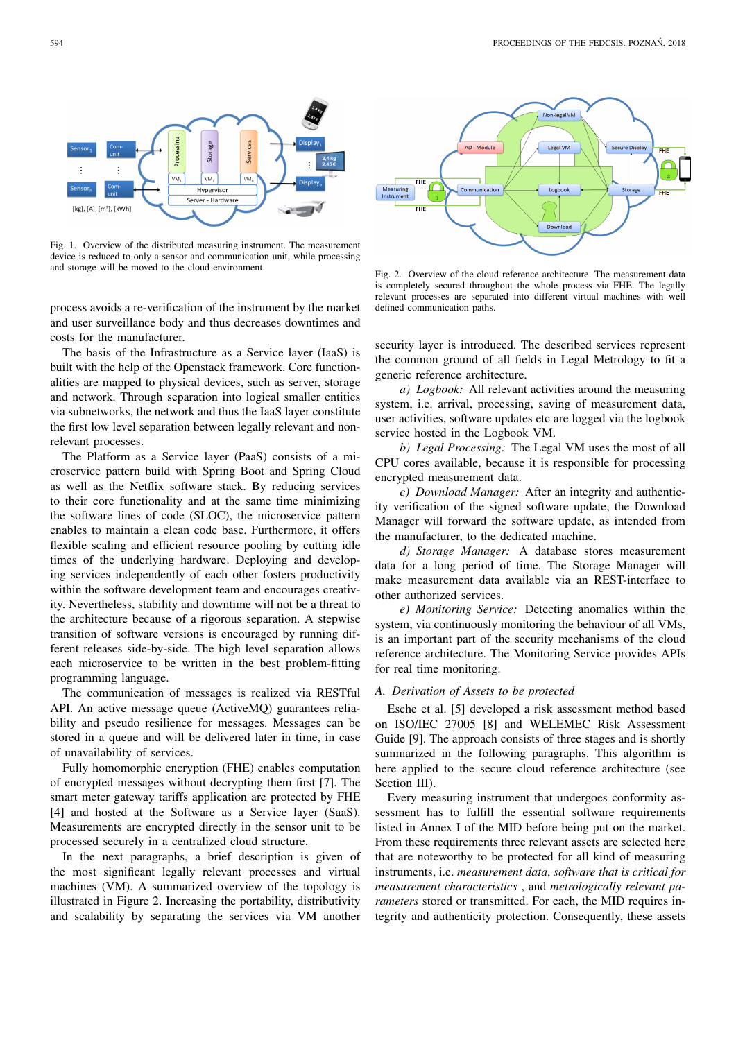

Fig. 1. Overview of the distributed measuring instrument. The measurement device is reduced to only a sensor and communication unit, while processing and storage will be moved to the cloud environment.

process avoids a re-verification of the instrument by the market and user surveillance body and thus decreases downtimes and costs for the manufacturer.

The basis of the Infrastructure as a Service layer (IaaS) is built with the help of the Openstack framework. Core functionalities are mapped to physical devices, such as server, storage and network. Through separation into logical smaller entities via subnetworks, the network and thus the IaaS layer constitute the first low level separation between legally relevant and nonrelevant processes.

The Platform as a Service layer (PaaS) consists of a microservice pattern build with Spring Boot and Spring Cloud as well as the Netflix software stack. By reducing services to their core functionality and at the same time minimizing the software lines of code (SLOC), the microservice pattern enables to maintain a clean code base. Furthermore, it offers flexible scaling and efficient resource pooling by cutting idle times of the underlying hardware. Deploying and developing services independently of each other fosters productivity within the software development team and encourages creativity. Nevertheless, stability and downtime will not be a threat to the architecture because of a rigorous separation. A stepwise transition of software versions is encouraged by running different releases side-by-side. The high level separation allows each microservice to be written in the best problem-fitting programming language.

The communication of messages is realized via RESTful API. An active message queue (ActiveMQ) guarantees reliability and pseudo resilience for messages. Messages can be stored in a queue and will be delivered later in time, in case of unavailability of services.

Fully homomorphic encryption (FHE) enables computation of encrypted messages without decrypting them first [7]. The smart meter gateway tariffs application are protected by FHE [4] and hosted at the Software as a Service layer (SaaS). Measurements are encrypted directly in the sensor unit to be processed securely in a centralized cloud structure.

In the next paragraphs, a brief description is given of the most significant legally relevant processes and virtual machines (VM). A summarized overview of the topology is illustrated in Figure 2. Increasing the portability, distributivity and scalability by separating the services via VM another



Fig. 2. Overview of the cloud reference architecture. The measurement data is completely secured throughout the whole process via FHE. The legally relevant processes are separated into different virtual machines with well defined communication paths.

security layer is introduced. The described services represent the common ground of all fields in Legal Metrology to fit a generic reference architecture.

*a) Logbook:* All relevant activities around the measuring system, i.e. arrival, processing, saving of measurement data, user activities, software updates etc are logged via the logbook service hosted in the Logbook VM.

*b) Legal Processing:* The Legal VM uses the most of all CPU cores available, because it is responsible for processing encrypted measurement data.

*c) Download Manager:* After an integrity and authenticity verification of the signed software update, the Download Manager will forward the software update, as intended from the manufacturer, to the dedicated machine.

*d) Storage Manager:* A database stores measurement data for a long period of time. The Storage Manager will make measurement data available via an REST-interface to other authorized services.

*e) Monitoring Service:* Detecting anomalies within the system, via continuously monitoring the behaviour of all VMs, is an important part of the security mechanisms of the cloud reference architecture. The Monitoring Service provides APIs for real time monitoring.

# *A. Derivation of Assets to be protected*

Esche et al. [5] developed a risk assessment method based on ISO/IEC 27005 [8] and WELEMEC Risk Assessment Guide [9]. The approach consists of three stages and is shortly summarized in the following paragraphs. This algorithm is here applied to the secure cloud reference architecture (see Section III).

Every measuring instrument that undergoes conformity assessment has to fulfill the essential software requirements listed in Annex I of the MID before being put on the market. From these requirements three relevant assets are selected here that are noteworthy to be protected for all kind of measuring instruments, i.e. *measurement data*, *software that is critical for measurement characteristics* , and *metrologically relevant parameters* stored or transmitted. For each, the MID requires integrity and authenticity protection. Consequently, these assets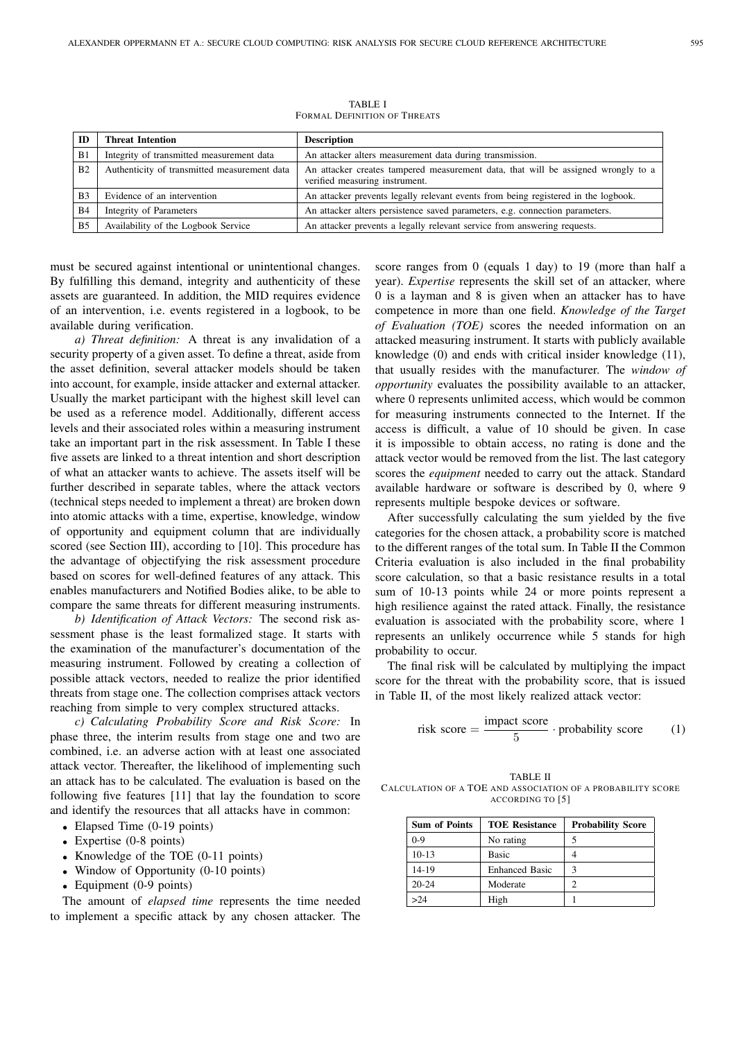| ID             | <b>Threat Intention</b>                      | <b>Description</b>                                                                                                  |
|----------------|----------------------------------------------|---------------------------------------------------------------------------------------------------------------------|
| B1             | Integrity of transmitted measurement data    | An attacker alters measurement data during transmission.                                                            |
| B <sub>2</sub> | Authenticity of transmitted measurement data | An attacker creates tampered measurement data, that will be assigned wrongly to a<br>verified measuring instrument. |
| B <sub>3</sub> | Evidence of an intervention                  | An attacker prevents legally relevant events from being registered in the logbook.                                  |
| B4             | Integrity of Parameters                      | An attacker alters persistence saved parameters, e.g. connection parameters.                                        |
| B <sub>5</sub> | Availability of the Logbook Service          | An attacker prevents a legally relevant service from answering requests.                                            |

TABLE I FORMAL DEFINITION OF THREATS

must be secured against intentional or unintentional changes. By fulfilling this demand, integrity and authenticity of these assets are guaranteed. In addition, the MID requires evidence of an intervention, i.e. events registered in a logbook, to be available during verification.

*a) Threat definition:* A threat is any invalidation of a security property of a given asset. To define a threat, aside from the asset definition, several attacker models should be taken into account, for example, inside attacker and external attacker. Usually the market participant with the highest skill level can be used as a reference model. Additionally, different access levels and their associated roles within a measuring instrument take an important part in the risk assessment. In Table I these five assets are linked to a threat intention and short description of what an attacker wants to achieve. The assets itself will be further described in separate tables, where the attack vectors (technical steps needed to implement a threat) are broken down into atomic attacks with a time, expertise, knowledge, window of opportunity and equipment column that are individually scored (see Section III), according to [10]. This procedure has the advantage of objectifying the risk assessment procedure based on scores for well-defined features of any attack. This enables manufacturers and Notified Bodies alike, to be able to compare the same threats for different measuring instruments.

*b) Identification of Attack Vectors:* The second risk assessment phase is the least formalized stage. It starts with the examination of the manufacturer's documentation of the measuring instrument. Followed by creating a collection of possible attack vectors, needed to realize the prior identified threats from stage one. The collection comprises attack vectors reaching from simple to very complex structured attacks.

*c) Calculating Probability Score and Risk Score:* In phase three, the interim results from stage one and two are combined, i.e. an adverse action with at least one associated attack vector. Thereafter, the likelihood of implementing such an attack has to be calculated. The evaluation is based on the following five features [11] that lay the foundation to score and identify the resources that all attacks have in common:

- Elapsed Time (0-19 points)
- Expertise (0-8 points)
- Knowledge of the TOE (0-11 points)
- Window of Opportunity (0-10 points)
- Equipment (0-9 points)

The amount of *elapsed time* represents the time needed to implement a specific attack by any chosen attacker. The

score ranges from 0 (equals 1 day) to 19 (more than half a year). *Expertise* represents the skill set of an attacker, where 0 is a layman and 8 is given when an attacker has to have competence in more than one field. *Knowledge of the Target of Evaluation (TOE)* scores the needed information on an attacked measuring instrument. It starts with publicly available knowledge (0) and ends with critical insider knowledge (11), that usually resides with the manufacturer. The *window of opportunity* evaluates the possibility available to an attacker, where 0 represents unlimited access, which would be common for measuring instruments connected to the Internet. If the access is difficult, a value of 10 should be given. In case it is impossible to obtain access, no rating is done and the attack vector would be removed from the list. The last category scores the *equipment* needed to carry out the attack. Standard available hardware or software is described by 0, where 9 represents multiple bespoke devices or software.

After successfully calculating the sum yielded by the five categories for the chosen attack, a probability score is matched to the different ranges of the total sum. In Table II the Common Criteria evaluation is also included in the final probability score calculation, so that a basic resistance results in a total sum of 10-13 points while 24 or more points represent a high resilience against the rated attack. Finally, the resistance evaluation is associated with the probability score, where 1 represents an unlikely occurrence while 5 stands for high probability to occur.

The final risk will be calculated by multiplying the impact score for the threat with the probability score, that is issued in Table II, of the most likely realized attack vector:

risk score = 
$$
\frac{\text{impact score}}{5} \cdot \text{probability score}
$$
 (1)

TABLE II CALCULATION OF A TOE AND ASSOCIATION OF A PROBABILITY SCORE ACCORDING TO [5]

| <b>Sum of Points</b> | <b>TOE Resistance</b> | <b>Probability Score</b> |
|----------------------|-----------------------|--------------------------|
| $0-9$                | No rating             | 5                        |
| $10-13$              | Basic                 | 4                        |
| 14-19                | <b>Enhanced Basic</b> | 3                        |
| $20 - 24$            | Moderate              | っ                        |
| >24                  | High                  |                          |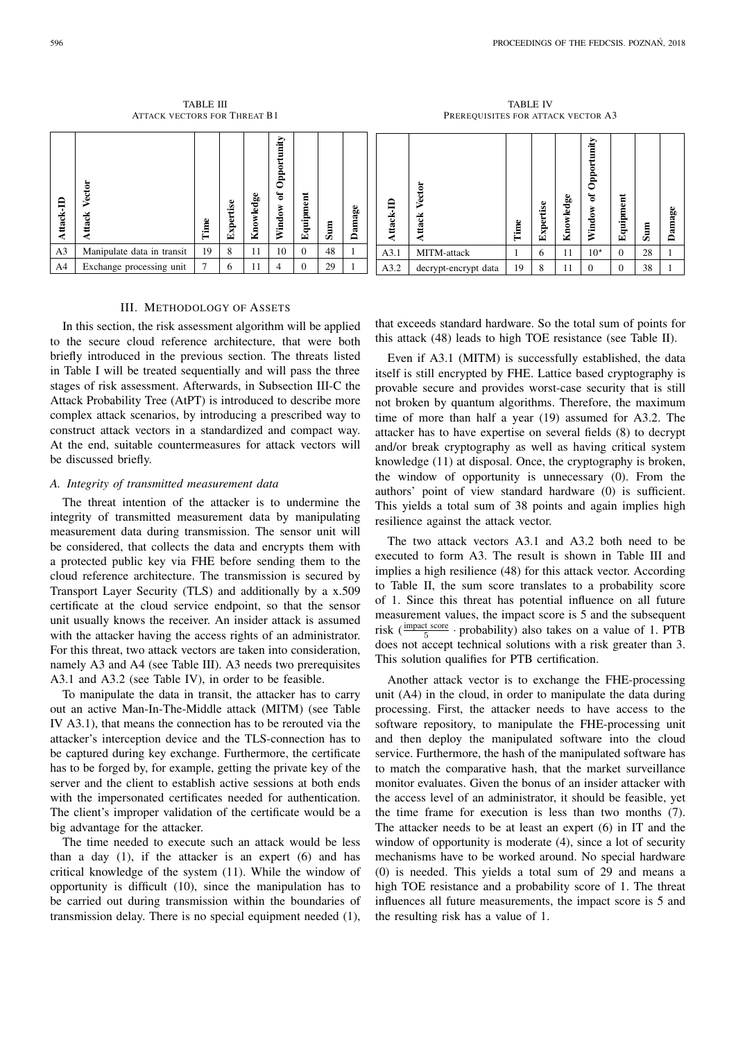TABLE III ATTACK VECTORS FOR THREAT B1

TABLE IV PREREQUISITES FOR ATTACK VECTOR A3

| 白<br>ttack-l   | Vector<br>Attack           | Time | ڡ<br>o<br>e<br>نه<br>Exp | Knowledge | ⋗<br>≔<br>Ê<br>ᅌ<br>ቴ<br>۰<br>Ě<br>≳ | $_{\rm ent}$<br>Equipme | Sum | amage<br>≏ | ą<br>ttack | 능<br>ى<br>ే          | ω<br>Ê | $\bullet$<br>rtis<br>Exper | ω<br>ಕ್ಷ<br>$\frac{1}{\sqrt{2}}$<br><b>Kno</b> | Opportunity<br>ัธ<br>Window | $\overline{a}$<br>Equipme | 目<br>ھ | Damage |
|----------------|----------------------------|------|--------------------------|-----------|--------------------------------------|-------------------------|-----|------------|------------|----------------------|--------|----------------------------|------------------------------------------------|-----------------------------|---------------------------|--------|--------|
| A <sub>3</sub> | Manipulate data in transit | 19   | 8                        | 11        | 10                                   | $\Omega$                | 48  |            | A3.1       | MITM-attack          |        | 6                          | 11                                             | $10^{\star}$                | $\Omega$                  | 28     |        |
| A4             | Exchange processing unit   | 7    | $\sigma$                 | 11        | 4                                    | $\Omega$                | 29  |            | A3.2       | decrypt-encrypt data | 19     | 8                          | 11                                             | $\Omega$                    | $\Omega$                  | 38     |        |

# III. METHODOLOGY OF ASSETS

In this section, the risk assessment algorithm will be applied to the secure cloud reference architecture, that were both briefly introduced in the previous section. The threats listed in Table I will be treated sequentially and will pass the three stages of risk assessment. Afterwards, in Subsection III-C the Attack Probability Tree (AtPT) is introduced to describe more complex attack scenarios, by introducing a prescribed way to construct attack vectors in a standardized and compact way. At the end, suitable countermeasures for attack vectors will be discussed briefly.

# *A. Integrity of transmitted measurement data*

The threat intention of the attacker is to undermine the integrity of transmitted measurement data by manipulating measurement data during transmission. The sensor unit will be considered, that collects the data and encrypts them with a protected public key via FHE before sending them to the cloud reference architecture. The transmission is secured by Transport Layer Security (TLS) and additionally by a x.509 certificate at the cloud service endpoint, so that the sensor unit usually knows the receiver. An insider attack is assumed with the attacker having the access rights of an administrator. For this threat, two attack vectors are taken into consideration, namely A3 and A4 (see Table III). A3 needs two prerequisites A3.1 and A3.2 (see Table IV), in order to be feasible.

To manipulate the data in transit, the attacker has to carry out an active Man-In-The-Middle attack (MITM) (see Table IV A3.1), that means the connection has to be rerouted via the attacker's interception device and the TLS-connection has to be captured during key exchange. Furthermore, the certificate has to be forged by, for example, getting the private key of the server and the client to establish active sessions at both ends with the impersonated certificates needed for authentication. The client's improper validation of the certificate would be a big advantage for the attacker.

The time needed to execute such an attack would be less than a day (1), if the attacker is an expert (6) and has critical knowledge of the system (11). While the window of opportunity is difficult (10), since the manipulation has to be carried out during transmission within the boundaries of transmission delay. There is no special equipment needed (1),

that exceeds standard hardware. So the total sum of points for this attack (48) leads to high TOE resistance (see Table II).

Even if A3.1 (MITM) is successfully established, the data itself is still encrypted by FHE. Lattice based cryptography is provable secure and provides worst-case security that is still not broken by quantum algorithms. Therefore, the maximum time of more than half a year (19) assumed for A3.2. The attacker has to have expertise on several fields (8) to decrypt and/or break cryptography as well as having critical system knowledge (11) at disposal. Once, the cryptography is broken, the window of opportunity is unnecessary (0). From the authors' point of view standard hardware (0) is sufficient. This yields a total sum of 38 points and again implies high resilience against the attack vector.

The two attack vectors A3.1 and A3.2 both need to be executed to form A3. The result is shown in Table III and implies a high resilience (48) for this attack vector. According to Table II, the sum score translates to a probability score of 1. Since this threat has potential influence on all future measurement values, the impact score is 5 and the subsequent risk ( $\frac{\text{impact score}}{5}$  · probability) also takes on a value of 1. PTB does not accept technical solutions with a risk greater than 3. This solution qualifies for PTB certification.

Another attack vector is to exchange the FHE-processing unit (A4) in the cloud, in order to manipulate the data during processing. First, the attacker needs to have access to the software repository, to manipulate the FHE-processing unit and then deploy the manipulated software into the cloud service. Furthermore, the hash of the manipulated software has to match the comparative hash, that the market surveillance monitor evaluates. Given the bonus of an insider attacker with the access level of an administrator, it should be feasible, yet the time frame for execution is less than two months (7). The attacker needs to be at least an expert (6) in IT and the window of opportunity is moderate (4), since a lot of security mechanisms have to be worked around. No special hardware (0) is needed. This yields a total sum of 29 and means a high TOE resistance and a probability score of 1. The threat influences all future measurements, the impact score is 5 and the resulting risk has a value of 1.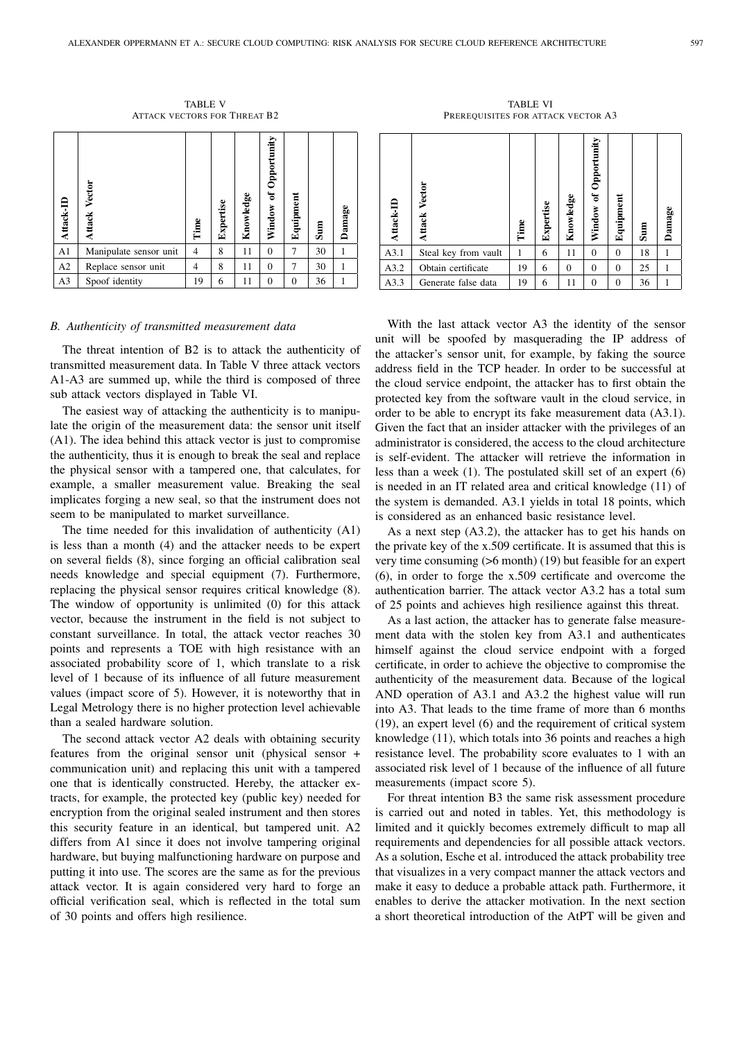TABLE V ATTACK VECTORS FOR THREAT B2

| Attack-II      | Vector<br>Attack       | Time           | Expertise | Knowledge | Opportunity<br>$\mathfrak{b}$<br>Window | Equipmen | $\sin$ | Damage |
|----------------|------------------------|----------------|-----------|-----------|-----------------------------------------|----------|--------|--------|
| A1             | Manipulate sensor unit | $\overline{4}$ | 8         | 11        | $\Omega$                                | 7        | 30     |        |
| A2             | Replace sensor unit    | 4              | 8         | 11        | $\Omega$                                | 7        | 30     |        |
| A <sub>3</sub> | Spoof identity         | 19             | 6         | 11        | $\Omega$                                | $\Omega$ | 36     |        |

#### *B. Authenticity of transmitted measurement data*

The threat intention of B2 is to attack the authenticity of transmitted measurement data. In Table V three attack vectors A1-A3 are summed up, while the third is composed of three sub attack vectors displayed in Table VI.

The easiest way of attacking the authenticity is to manipulate the origin of the measurement data: the sensor unit itself (A1). The idea behind this attack vector is just to compromise the authenticity, thus it is enough to break the seal and replace the physical sensor with a tampered one, that calculates, for example, a smaller measurement value. Breaking the seal implicates forging a new seal, so that the instrument does not seem to be manipulated to market surveillance.

The time needed for this invalidation of authenticity (A1) is less than a month (4) and the attacker needs to be expert on several fields (8), since forging an official calibration seal needs knowledge and special equipment (7). Furthermore, replacing the physical sensor requires critical knowledge (8). The window of opportunity is unlimited (0) for this attack vector, because the instrument in the field is not subject to constant surveillance. In total, the attack vector reaches 30 points and represents a TOE with high resistance with an associated probability score of 1, which translate to a risk level of 1 because of its influence of all future measurement values (impact score of 5). However, it is noteworthy that in Legal Metrology there is no higher protection level achievable than a sealed hardware solution.

The second attack vector A2 deals with obtaining security features from the original sensor unit (physical sensor + communication unit) and replacing this unit with a tampered one that is identically constructed. Hereby, the attacker extracts, for example, the protected key (public key) needed for encryption from the original sealed instrument and then stores this security feature in an identical, but tampered unit. A2 differs from A1 since it does not involve tampering original hardware, but buying malfunctioning hardware on purpose and putting it into use. The scores are the same as for the previous attack vector. It is again considered very hard to forge an official verification seal, which is reflected in the total sum of 30 points and offers high resilience.

TABLE VI PREREQUISITES FOR ATTACK VECTOR A3

| Attack-ID | <b>Attack Vector</b> | Time | Expertise | Knowledge | Opportunit<br>đ<br>Window | Equipment | $\sin$ | Damage |
|-----------|----------------------|------|-----------|-----------|---------------------------|-----------|--------|--------|
| A3.1      | Steal key from vault | 1    | 6         | 11        | $\Omega$                  | $\Omega$  | 18     |        |
| A3.2      | Obtain certificate   | 19   | 6         | $\theta$  | $\Omega$                  | $\Omega$  | 25     |        |
| A3.3      | Generate false data  | 19   | 6         | 11        | $\Omega$                  | $\Omega$  | 36     |        |

With the last attack vector A3 the identity of the sensor unit will be spoofed by masquerading the IP address of the attacker's sensor unit, for example, by faking the source address field in the TCP header. In order to be successful at the cloud service endpoint, the attacker has to first obtain the protected key from the software vault in the cloud service, in order to be able to encrypt its fake measurement data (A3.1). Given the fact that an insider attacker with the privileges of an administrator is considered, the access to the cloud architecture is self-evident. The attacker will retrieve the information in less than a week (1). The postulated skill set of an expert (6) is needed in an IT related area and critical knowledge (11) of the system is demanded. A3.1 yields in total 18 points, which is considered as an enhanced basic resistance level.

As a next step (A3.2), the attacker has to get his hands on the private key of the x.509 certificate. It is assumed that this is very time consuming (>6 month) (19) but feasible for an expert (6), in order to forge the x.509 certificate and overcome the authentication barrier. The attack vector A3.2 has a total sum of 25 points and achieves high resilience against this threat.

As a last action, the attacker has to generate false measurement data with the stolen key from A3.1 and authenticates himself against the cloud service endpoint with a forged certificate, in order to achieve the objective to compromise the authenticity of the measurement data. Because of the logical AND operation of A3.1 and A3.2 the highest value will run into A3. That leads to the time frame of more than 6 months (19), an expert level (6) and the requirement of critical system knowledge (11), which totals into 36 points and reaches a high resistance level. The probability score evaluates to 1 with an associated risk level of 1 because of the influence of all future measurements (impact score 5).

For threat intention B3 the same risk assessment procedure is carried out and noted in tables. Yet, this methodology is limited and it quickly becomes extremely difficult to map all requirements and dependencies for all possible attack vectors. As a solution, Esche et al. introduced the attack probability tree that visualizes in a very compact manner the attack vectors and make it easy to deduce a probable attack path. Furthermore, it enables to derive the attacker motivation. In the next section a short theoretical introduction of the AtPT will be given and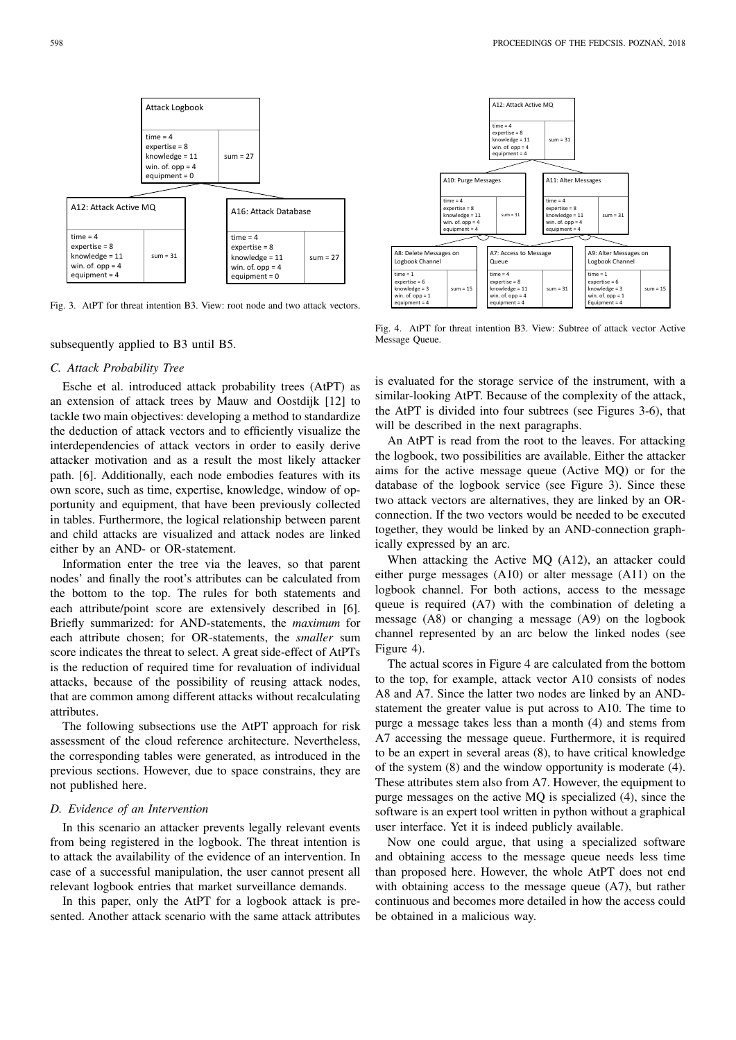

Fig. 3. AtPT for threat intention B3. View: root node and two attack vectors.

# subsequently applied to B3 until B5.

# *C. Attack Probability Tree*

Esche et al. introduced attack probability trees (AtPT) as an extension of attack trees by Mauw and Oostdijk [12] to tackle two main objectives: developing a method to standardize the deduction of attack vectors and to efficiently visualize the interdependencies of attack vectors in order to easily derive attacker motivation and as a result the most likely attacker path. [6]. Additionally, each node embodies features with its own score, such as time, expertise, knowledge, window of opportunity and equipment, that have been previously collected in tables. Furthermore, the logical relationship between parent and child attacks are visualized and attack nodes are linked either by an AND- or OR-statement.

Information enter the tree via the leaves, so that parent nodes' and finally the root's attributes can be calculated from the bottom to the top. The rules for both statements and each attribute/point score are extensively described in [6]. Briefly summarized: for AND-statements, the *maximum* for each attribute chosen; for OR-statements, the *smaller* sum score indicates the threat to select. A great side-effect of AtPTs is the reduction of required time for revaluation of individual attacks, because of the possibility of reusing attack nodes, that are common among different attacks without recalculating attributes.

The following subsections use the AtPT approach for risk assessment of the cloud reference architecture. Nevertheless, the corresponding tables were generated, as introduced in the previous sections. However, due to space constrains, they are not published here.

## *D. Evidence of an Intervention*

In this scenario an attacker prevents legally relevant events from being registered in the logbook. The threat intention is to attack the availability of the evidence of an intervention. In case of a successful manipulation, the user cannot present all relevant logbook entries that market surveillance demands.

In this paper, only the AtPT for a logbook attack is presented. Another attack scenario with the same attack attributes



Fig. 4. AtPT for threat intention B3. View: Subtree of attack vector Active Message Queue.

is evaluated for the storage service of the instrument, with a similar-looking AtPT. Because of the complexity of the attack, the AtPT is divided into four subtrees (see Figures 3-6), that will be described in the next paragraphs.

An AtPT is read from the root to the leaves. For attacking the logbook, two possibilities are available. Either the attacker aims for the active message queue (Active MQ) or for the database of the logbook service (see Figure 3). Since these two attack vectors are alternatives, they are linked by an ORconnection. If the two vectors would be needed to be executed together, they would be linked by an AND-connection graphically expressed by an arc.

When attacking the Active MQ (A12), an attacker could either purge messages (A10) or alter message (A11) on the logbook channel. For both actions, access to the message queue is required (A7) with the combination of deleting a message (A8) or changing a message (A9) on the logbook channel represented by an arc below the linked nodes (see Figure 4).

The actual scores in Figure 4 are calculated from the bottom to the top, for example, attack vector A10 consists of nodes A8 and A7. Since the latter two nodes are linked by an ANDstatement the greater value is put across to A10. The time to purge a message takes less than a month (4) and stems from A7 accessing the message queue. Furthermore, it is required to be an expert in several areas (8), to have critical knowledge of the system (8) and the window opportunity is moderate (4). These attributes stem also from A7. However, the equipment to purge messages on the active MQ is specialized (4), since the software is an expert tool written in python without a graphical user interface. Yet it is indeed publicly available.

Now one could argue, that using a specialized software and obtaining access to the message queue needs less time than proposed here. However, the whole AtPT does not end with obtaining access to the message queue (A7), but rather continuous and becomes more detailed in how the access could be obtained in a malicious way.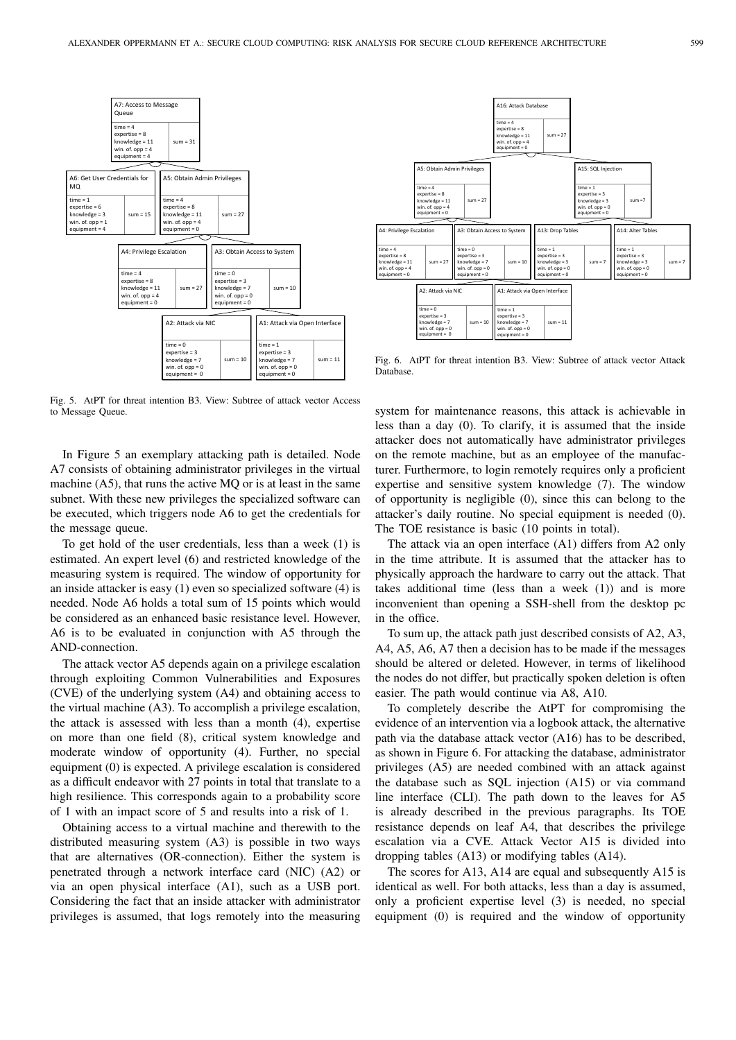

Fig. 5. AtPT for threat intention B3. View: Subtree of attack vector Access to Message Queue.

In Figure 5 an exemplary attacking path is detailed. Node A7 consists of obtaining administrator privileges in the virtual machine (A5), that runs the active MQ or is at least in the same subnet. With these new privileges the specialized software can be executed, which triggers node A6 to get the credentials for the message queue.

To get hold of the user credentials, less than a week (1) is estimated. An expert level (6) and restricted knowledge of the measuring system is required. The window of opportunity for an inside attacker is easy (1) even so specialized software (4) is needed. Node A6 holds a total sum of 15 points which would be considered as an enhanced basic resistance level. However, A6 is to be evaluated in conjunction with A5 through the AND-connection.

The attack vector A5 depends again on a privilege escalation through exploiting Common Vulnerabilities and Exposures (CVE) of the underlying system (A4) and obtaining access to the virtual machine (A3). To accomplish a privilege escalation, the attack is assessed with less than a month (4), expertise on more than one field (8), critical system knowledge and moderate window of opportunity (4). Further, no special equipment (0) is expected. A privilege escalation is considered as a difficult endeavor with 27 points in total that translate to a high resilience. This corresponds again to a probability score of 1 with an impact score of 5 and results into a risk of 1.

Obtaining access to a virtual machine and therewith to the distributed measuring system (A3) is possible in two ways that are alternatives (OR-connection). Either the system is penetrated through a network interface card (NIC) (A2) or via an open physical interface (A1), such as a USB port. Considering the fact that an inside attacker with administrator privileges is assumed, that logs remotely into the measuring



Fig. 6. AtPT for threat intention B3. View: Subtree of attack vector Attack Database.

system for maintenance reasons, this attack is achievable in less than a day (0). To clarify, it is assumed that the inside attacker does not automatically have administrator privileges on the remote machine, but as an employee of the manufacturer. Furthermore, to login remotely requires only a proficient expertise and sensitive system knowledge (7). The window of opportunity is negligible (0), since this can belong to the attacker's daily routine. No special equipment is needed (0). The TOE resistance is basic (10 points in total).

The attack via an open interface (A1) differs from A2 only in the time attribute. It is assumed that the attacker has to physically approach the hardware to carry out the attack. That takes additional time (less than a week (1)) and is more inconvenient than opening a SSH-shell from the desktop pc in the office.

To sum up, the attack path just described consists of A2, A3, A4, A5, A6, A7 then a decision has to be made if the messages should be altered or deleted. However, in terms of likelihood the nodes do not differ, but practically spoken deletion is often easier. The path would continue via A8, A10.

To completely describe the AtPT for compromising the evidence of an intervention via a logbook attack, the alternative path via the database attack vector (A16) has to be described, as shown in Figure 6. For attacking the database, administrator privileges (A5) are needed combined with an attack against the database such as SQL injection (A15) or via command line interface (CLI). The path down to the leaves for A5 is already described in the previous paragraphs. Its TOE resistance depends on leaf A4, that describes the privilege escalation via a CVE. Attack Vector A15 is divided into dropping tables (A13) or modifying tables (A14).

The scores for A13, A14 are equal and subsequently A15 is identical as well. For both attacks, less than a day is assumed, only a proficient expertise level (3) is needed, no special equipment (0) is required and the window of opportunity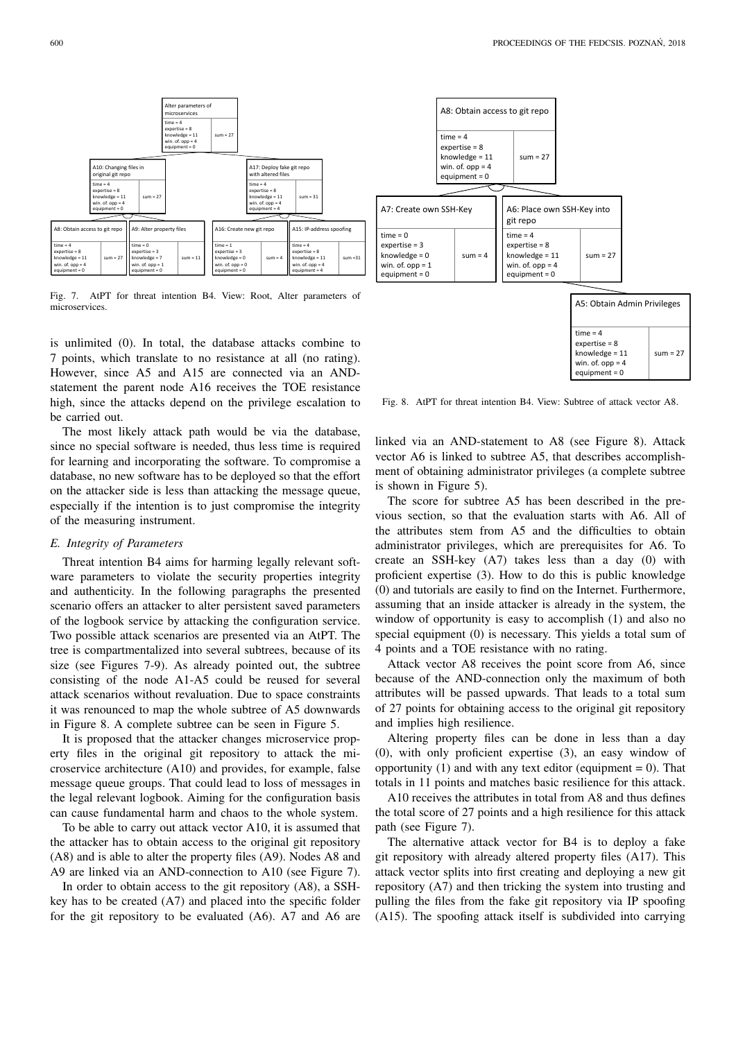

Fig. 7. AtPT for threat intention B4. View: Root, Alter parameters of microservices.

is unlimited (0). In total, the database attacks combine to 7 points, which translate to no resistance at all (no rating). However, since A5 and A15 are connected via an ANDstatement the parent node A16 receives the TOE resistance high, since the attacks depend on the privilege escalation to be carried out.

The most likely attack path would be via the database, since no special software is needed, thus less time is required for learning and incorporating the software. To compromise a database, no new software has to be deployed so that the effort on the attacker side is less than attacking the message queue, especially if the intention is to just compromise the integrity of the measuring instrument.

# *E. Integrity of Parameters*

Threat intention B4 aims for harming legally relevant software parameters to violate the security properties integrity and authenticity. In the following paragraphs the presented scenario offers an attacker to alter persistent saved parameters of the logbook service by attacking the configuration service. Two possible attack scenarios are presented via an AtPT. The tree is compartmentalized into several subtrees, because of its size (see Figures 7-9). As already pointed out, the subtree consisting of the node A1-A5 could be reused for several attack scenarios without revaluation. Due to space constraints it was renounced to map the whole subtree of A5 downwards in Figure 8. A complete subtree can be seen in Figure 5.

It is proposed that the attacker changes microservice property files in the original git repository to attack the microservice architecture (A10) and provides, for example, false message queue groups. That could lead to loss of messages in the legal relevant logbook. Aiming for the configuration basis can cause fundamental harm and chaos to the whole system.

To be able to carry out attack vector A10, it is assumed that the attacker has to obtain access to the original git repository (A8) and is able to alter the property files (A9). Nodes A8 and A9 are linked via an AND-connection to A10 (see Figure 7).

In order to obtain access to the git repository (A8), a SSHkey has to be created (A7) and placed into the specific folder for the git repository to be evaluated (A6). A7 and A6 are



Fig. 8. AtPT for threat intention B4. View: Subtree of attack vector A8.

linked via an AND-statement to A8 (see Figure 8). Attack vector A6 is linked to subtree A5, that describes accomplishment of obtaining administrator privileges (a complete subtree is shown in Figure 5).

The score for subtree A5 has been described in the previous section, so that the evaluation starts with A6. All of the attributes stem from A5 and the difficulties to obtain administrator privileges, which are prerequisites for A6. To create an SSH-key (A7) takes less than a day (0) with proficient expertise (3). How to do this is public knowledge (0) and tutorials are easily to find on the Internet. Furthermore, assuming that an inside attacker is already in the system, the window of opportunity is easy to accomplish (1) and also no special equipment (0) is necessary. This yields a total sum of 4 points and a TOE resistance with no rating.

Attack vector A8 receives the point score from A6, since because of the AND-connection only the maximum of both attributes will be passed upwards. That leads to a total sum of 27 points for obtaining access to the original git repository and implies high resilience.

Altering property files can be done in less than a day (0), with only proficient expertise (3), an easy window of opportunity  $(1)$  and with any text editor (equipment = 0). That totals in 11 points and matches basic resilience for this attack.

A10 receives the attributes in total from A8 and thus defines the total score of 27 points and a high resilience for this attack path (see Figure 7).

The alternative attack vector for B4 is to deploy a fake git repository with already altered property files (A17). This attack vector splits into first creating and deploying a new git repository (A7) and then tricking the system into trusting and pulling the files from the fake git repository via IP spoofing (A15). The spoofing attack itself is subdivided into carrying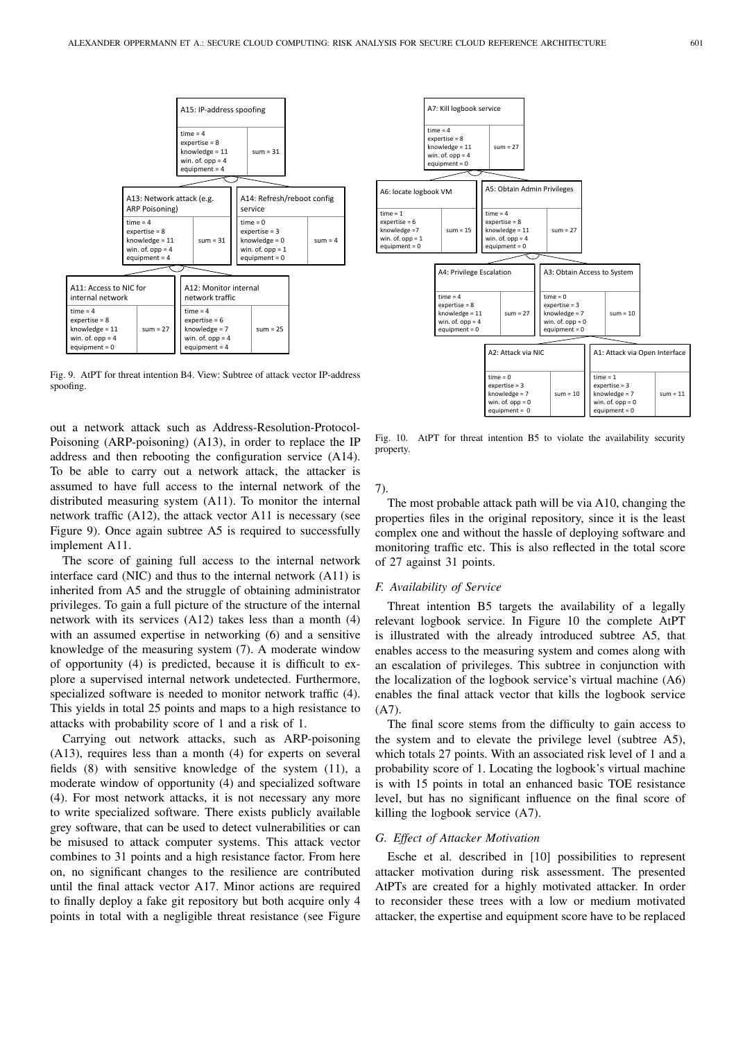

Fig. 9. AtPT for threat intention B4. View: Subtree of attack vector IP-address spoofing.

out a network attack such as Address-Resolution-Protocol-Poisoning (ARP-poisoning) (A13), in order to replace the IP address and then rebooting the configuration service (A14). To be able to carry out a network attack, the attacker is assumed to have full access to the internal network of the distributed measuring system (A11). To monitor the internal network traffic (A12), the attack vector A11 is necessary (see Figure 9). Once again subtree A5 is required to successfully implement A11.

The score of gaining full access to the internal network interface card (NIC) and thus to the internal network (A11) is inherited from A5 and the struggle of obtaining administrator privileges. To gain a full picture of the structure of the internal network with its services (A12) takes less than a month (4) with an assumed expertise in networking (6) and a sensitive knowledge of the measuring system (7). A moderate window of opportunity (4) is predicted, because it is difficult to explore a supervised internal network undetected. Furthermore, specialized software is needed to monitor network traffic (4). This yields in total 25 points and maps to a high resistance to attacks with probability score of 1 and a risk of 1.

Carrying out network attacks, such as ARP-poisoning (A13), requires less than a month (4) for experts on several fields (8) with sensitive knowledge of the system (11), a moderate window of opportunity (4) and specialized software (4). For most network attacks, it is not necessary any more to write specialized software. There exists publicly available grey software, that can be used to detect vulnerabilities or can be misused to attack computer systems. This attack vector combines to 31 points and a high resistance factor. From here on, no significant changes to the resilience are contributed until the final attack vector A17. Minor actions are required to finally deploy a fake git repository but both acquire only 4 points in total with a negligible threat resistance (see Figure



Fig. 10. AtPT for threat intention B5 to violate the availability security property.

7).

The most probable attack path will be via A10, changing the properties files in the original repository, since it is the least complex one and without the hassle of deploying software and monitoring traffic etc. This is also reflected in the total score of 27 against 31 points.

# *F. Availability of Service*

Threat intention B5 targets the availability of a legally relevant logbook service. In Figure 10 the complete AtPT is illustrated with the already introduced subtree A5, that enables access to the measuring system and comes along with an escalation of privileges. This subtree in conjunction with the localization of the logbook service's virtual machine (A6) enables the final attack vector that kills the logbook service  $(A7)$ .

The final score stems from the difficulty to gain access to the system and to elevate the privilege level (subtree A5), which totals 27 points. With an associated risk level of 1 and a probability score of 1. Locating the logbook's virtual machine is with 15 points in total an enhanced basic TOE resistance level, but has no significant influence on the final score of killing the logbook service (A7).

#### *G. Effect of Attacker Motivation*

Esche et al. described in [10] possibilities to represent attacker motivation during risk assessment. The presented AtPTs are created for a highly motivated attacker. In order to reconsider these trees with a low or medium motivated attacker, the expertise and equipment score have to be replaced